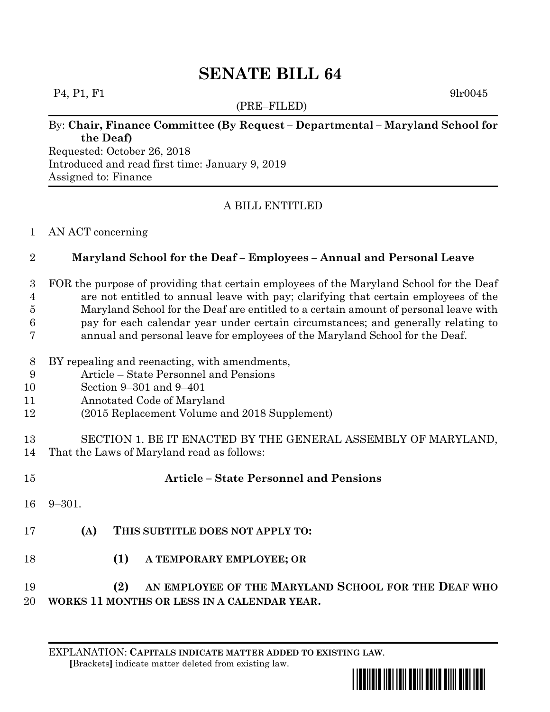# **SENATE BILL 64**

#### $P_4, P_1, F_1$  9lr0045

(PRE–FILED)

## By: **Chair, Finance Committee (By Request – Departmental – Maryland School for the Deaf)**

Requested: October 26, 2018 Introduced and read first time: January 9, 2019 Assigned to: Finance

## A BILL ENTITLED

#### AN ACT concerning

#### **Maryland School for the Deaf – Employees – Annual and Personal Leave**

 FOR the purpose of providing that certain employees of the Maryland School for the Deaf are not entitled to annual leave with pay; clarifying that certain employees of the

Maryland School for the Deaf are entitled to a certain amount of personal leave with

- pay for each calendar year under certain circumstances; and generally relating to
- annual and personal leave for employees of the Maryland School for the Deaf.
- BY repealing and reenacting, with amendments,
- Article State Personnel and Pensions
- Section 9–301 and 9–401
- Annotated Code of Maryland
- (2015 Replacement Volume and 2018 Supplement)
- SECTION 1. BE IT ENACTED BY THE GENERAL ASSEMBLY OF MARYLAND, That the Laws of Maryland read as follows:

| 15     |             | <b>Article – State Personnel and Pensions</b>                                                                                                                                                                                 |
|--------|-------------|-------------------------------------------------------------------------------------------------------------------------------------------------------------------------------------------------------------------------------|
|        | $16$ 9-301. |                                                                                                                                                                                                                               |
| 17     | (A)         | THIS SUBTITLE DOES NOT APPLY TO:                                                                                                                                                                                              |
| 18     |             | <b>(1)</b><br>A TEMPORARY EMPLOYEE; OR                                                                                                                                                                                        |
| $\sim$ |             | $(0)$ $(1)$ $(2)$ $(3)$ $(4)$ $(5)$ $(5)$ $(6)$ $(7)$ $(8)$ $(8)$ $(8)$ $(8)$ $(8)$ $(8)$ $(8)$ $(8)$ $(9)$ $(9)$ $(1)$ $(1)$ $(1)$ $(1)$ $(1)$ $(1)$ $(1)$ $(1)$ $(1)$ $(1)$ $(1)$ $(1)$ $(1)$ $(1)$ $(1)$ $(1)$ $(1)$ $(1)$ |

## **(2) AN EMPLOYEE OF THE MARYLAND SCHOOL FOR THE DEAF WHO WORKS 11 MONTHS OR LESS IN A CALENDAR YEAR.**